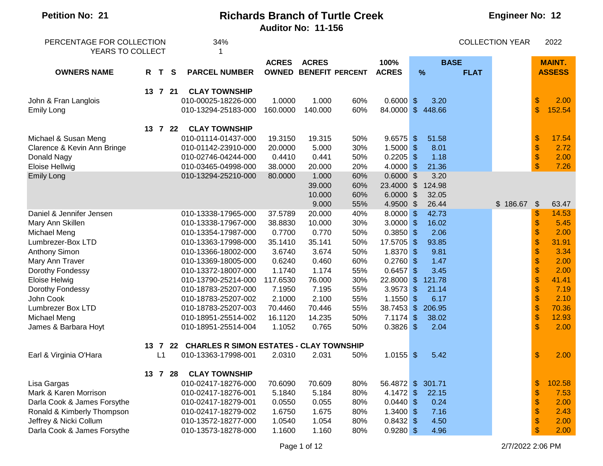| <b>Petition No: 21</b>      | <b>Richards Branch of Turtle Creek</b> |              |    |                                            |                           |              |                        |              |                         |        | <b>Engineer No: 12</b> |                        |                           |               |  |
|-----------------------------|----------------------------------------|--------------|----|--------------------------------------------|---------------------------|--------------|------------------------|--------------|-------------------------|--------|------------------------|------------------------|---------------------------|---------------|--|
|                             |                                        |              |    |                                            | <b>Auditor No: 11-156</b> |              |                        |              |                         |        |                        |                        |                           |               |  |
| PERCENTAGE FOR COLLECTION   |                                        |              |    | 34%                                        |                           |              |                        |              |                         |        |                        | <b>COLLECTION YEAR</b> |                           | 2022          |  |
| YEARS TO COLLECT            |                                        |              |    |                                            |                           |              |                        |              |                         |        |                        |                        |                           |               |  |
|                             |                                        |              |    |                                            | <b>ACRES</b>              | <b>ACRES</b> |                        | 100%         |                         |        | <b>BASE</b>            |                        |                           | <b>MAINT.</b> |  |
| <b>OWNERS NAME</b>          | R                                      | $\mathbf{T}$ | S  | <b>PARCEL NUMBER</b>                       | <b>OWNED</b>              |              | <b>BENEFIT PERCENT</b> | <b>ACRES</b> |                         | %      | <b>FLAT</b>            |                        |                           | <b>ASSESS</b> |  |
|                             |                                        | 13 7 21      |    | <b>CLAY TOWNSHIP</b>                       |                           |              |                        |              |                         |        |                        |                        |                           |               |  |
| John & Fran Langlois        |                                        |              |    | 010-00025-18226-000                        | 1.0000                    | 1.000        | 60%                    | $0.6000$ \$  |                         | 3.20   |                        |                        | $\$\$                     | 2.00          |  |
| <b>Emily Long</b>           |                                        |              |    | 010-13294-25183-000                        | 160.0000                  | 140.000      | 60%                    | 84.0000      | $\sqrt{3}$              | 448.66 |                        |                        | $\mathbf{\$}$             | 152.54        |  |
|                             |                                        | 13 7 22      |    | <b>CLAY TOWNSHIP</b>                       |                           |              |                        |              |                         |        |                        |                        |                           |               |  |
| Michael & Susan Meng        |                                        |              |    | 010-01114-01437-000                        | 19.3150                   | 19.315       | 50%                    | $9.6575$ \$  |                         | 51.58  |                        |                        | $\boldsymbol{\mathsf{S}}$ | 17.54         |  |
| Clarence & Kevin Ann Bringe |                                        |              |    | 010-01142-23910-000                        | 20.0000                   | 5.000        | 30%                    | 1.5000       | $\sqrt[6]{3}$           | 8.01   |                        |                        | $\boldsymbol{\$}$         | 2.72          |  |
| Donald Nagy                 |                                        |              |    | 010-02746-04244-000                        | 0.4410                    | 0.441        | 50%                    | 0.2205       | $\sqrt{3}$              | 1.18   |                        |                        | $\boldsymbol{\$}$         | 2.00          |  |
| <b>Eloise Hellwig</b>       |                                        |              |    | 010-03465-04998-000                        | 38.0000                   | 20.000       | 20%                    | 4.0000       | $\sqrt[6]{\frac{1}{2}}$ | 21.36  |                        |                        | \$                        | 7.26          |  |
| <b>Emily Long</b>           |                                        |              |    | 010-13294-25210-000                        | 80.0000                   | 1.000        | 60%                    | $0.6000$ \$  |                         | 3.20   |                        |                        |                           |               |  |
|                             |                                        |              |    |                                            |                           | 39.000       | 60%                    | 23.4000      | $\mathfrak{S}$          | 124.98 |                        |                        |                           |               |  |
|                             |                                        |              |    |                                            |                           | 10.000       | 60%                    | 6.0000       | $\sqrt{3}$              | 32.05  |                        |                        |                           |               |  |
|                             |                                        |              |    |                                            |                           | 9.000        | 55%                    | 4.9500       | $\mathfrak{F}$          | 26.44  |                        | \$186.67               | $\sqrt{3}$                | 63.47         |  |
| Daniel & Jennifer Jensen    |                                        |              |    | 010-13338-17965-000                        | 37.5789                   | 20.000       | 40%                    | $8.0000$ \$  |                         | 42.73  |                        |                        | \$                        | 14.53         |  |
| Mary Ann Skillen            |                                        |              |    | 010-13338-17967-000                        | 38.8830                   | 10.000       | 30%                    | 3.0000       | $\sqrt{3}$              | 16.02  |                        |                        | \$                        | 5.45          |  |
| Michael Meng                |                                        |              |    | 010-13354-17987-000                        | 0.7700                    | 0.770        | 50%                    | $0.3850$ \$  |                         | 2.06   |                        |                        | \$                        | 2.00          |  |
| Lumbrezer-Box LTD           |                                        |              |    | 010-13363-17998-000                        | 35.1410                   | 35.141       | 50%                    | 17.5705      | $\sqrt[6]{3}$           | 93.85  |                        |                        | \$                        | 31.91         |  |
| <b>Anthony Simon</b>        |                                        |              |    | 010-13366-18002-000                        | 3.6740                    | 3.674        | 50%                    | 1.8370       | $\sqrt{3}$              | 9.81   |                        |                        | \$                        | 3.34          |  |
| Mary Ann Traver             |                                        |              |    | 010-13369-18005-000                        | 0.6240                    | 0.460        | 60%                    | 0.2760       | $\sqrt[6]{3}$           | 1.47   |                        |                        | \$                        | 2.00          |  |
| Dorothy Fondessy            |                                        |              |    | 010-13372-18007-000                        | 1.1740                    | 1.174        | 55%                    | 0.6457       | $\sqrt[6]{\frac{1}{2}}$ | 3.45   |                        |                        | \$                        | 2.00          |  |
| Eloise Helwig               |                                        |              |    | 010-13790-25214-000                        | 117.6530                  | 76.000       | 30%                    | 22.8000      | $\frac{1}{2}$           | 121.78 |                        |                        | \$                        | 41.41         |  |
| Dorothy Fondessy            |                                        |              |    | 010-18783-25207-000                        | 7.1950                    | 7.195        | 55%                    | 3.9573       | $\frac{1}{2}$           | 21.14  |                        |                        | \$                        | 7.19          |  |
| John Cook                   |                                        |              |    | 010-18783-25207-002                        | 2.1000                    | 2.100        | 55%                    | 1.1550       | $\sqrt[6]{\frac{1}{2}}$ | 6.17   |                        |                        | \$                        | 2.10          |  |
| Lumbrezer Box LTD           |                                        |              |    | 010-18783-25207-003                        | 70.4460                   | 70.446       | 55%                    | 38.7453      | $\sqrt{2}$              | 206.95 |                        |                        | $\boldsymbol{\$}$         | 70.36         |  |
| Michael Meng                |                                        |              |    | 010-18951-25514-002                        | 16.1120                   | 14.235       | 50%                    | 7.1174       | $\sqrt{3}$              | 38.02  |                        |                        | $\boldsymbol{\$}$         | 12.93         |  |
| James & Barbara Hoyt        |                                        |              |    | 010-18951-25514-004                        | 1.1052                    | 0.765        | 50%                    | $0.3826$ \$  |                         | 2.04   |                        |                        | $\mathbf{\$}$             | 2.00          |  |
|                             |                                        | 13 7         |    | 22 CHARLES R SIMON ESTATES - CLAY TOWNSHIP |                           |              |                        |              |                         |        |                        |                        |                           |               |  |
| Earl & Virginia O'Hara      |                                        | L1           |    | 010-13363-17998-001                        | 2.0310                    | 2.031        | 50%                    | $1.0155$ \$  |                         | 5.42   |                        |                        | \$                        | 2.00          |  |
|                             |                                        | $13 \quad 7$ | 28 | <b>CLAY TOWNSHIP</b>                       |                           |              |                        |              |                         |        |                        |                        |                           |               |  |
| Lisa Gargas                 |                                        |              |    | 010-02417-18276-000                        | 70.6090                   | 70.609       | 80%                    | 56.4872 \$   |                         | 301.71 |                        |                        | \$                        | 102.58        |  |
| Mark & Karen Morrison       |                                        |              |    | 010-02417-18276-001                        | 5.1840                    | 5.184        | 80%                    | 4.1472       | $\sqrt{3}$              | 22.15  |                        |                        | \$                        | 7.53          |  |
| Darla Cook & James Forsythe |                                        |              |    | 010-02417-18279-001                        | 0.0550                    | 0.055        | 80%                    | $0.0440$ \$  |                         | 0.24   |                        |                        | \$                        | 2.00          |  |
| Ronald & Kimberly Thompson  |                                        |              |    | 010-02417-18279-002                        | 1.6750                    | 1.675        | 80%                    | $1.3400$ \$  |                         | 7.16   |                        |                        | \$                        | 2.43          |  |
| Jeffrey & Nicki Collum      |                                        |              |    | 010-13572-18277-000                        | 1.0540                    | 1.054        | 80%                    | $0.8432$ \$  |                         | 4.50   |                        |                        | \$                        | 2.00          |  |
| Darla Cook & James Forsythe |                                        |              |    | 010-13573-18278-000                        | 1.1600                    | 1.160        | 80%                    | $0.9280$ \$  |                         | 4.96   |                        |                        | \$                        | 2.00          |  |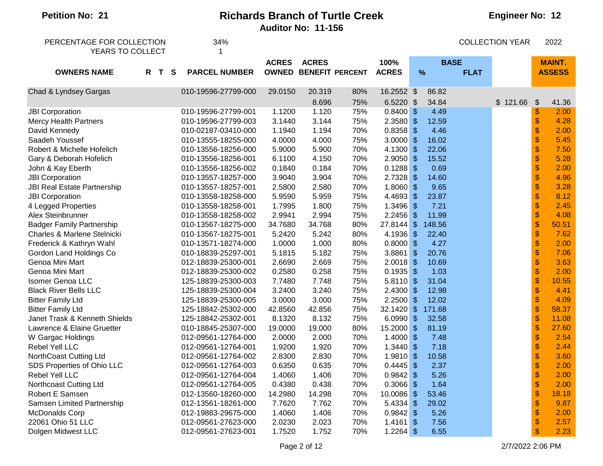#### **Engineer No: 12**

| PERCENTAGE FOR COLLECTION<br>YEARS TO COLLECT |     |  | 34%<br>1 |                      |              |                              |     |              |                           |             | <b>COLLECTION YEAR</b> |          | 2022                      |               |
|-----------------------------------------------|-----|--|----------|----------------------|--------------|------------------------------|-----|--------------|---------------------------|-------------|------------------------|----------|---------------------------|---------------|
|                                               |     |  |          |                      | <b>ACRES</b> | <b>ACRES</b>                 |     | 100%         |                           | <b>BASE</b> |                        |          |                           | <b>MAINT.</b> |
| <b>OWNERS NAME</b>                            | R T |  | <b>S</b> | <b>PARCEL NUMBER</b> |              | <b>OWNED BENEFIT PERCENT</b> |     | <b>ACRES</b> | $\frac{9}{6}$             |             | <b>FLAT</b>            |          |                           | <b>ASSESS</b> |
|                                               |     |  |          |                      |              |                              |     |              |                           |             |                        |          |                           |               |
| Chad & Lyndsey Gargas                         |     |  |          | 010-19596-27799-000  | 29.0150      | 20.319                       | 80% | 16.2552 \$   |                           | 86.82       |                        |          |                           |               |
|                                               |     |  |          |                      |              | 8.696                        | 75% | 6.5220       | $\sqrt[6]{\frac{1}{2}}$   | 34.84       |                        | \$121.66 | $\boldsymbol{\mathsf{S}}$ | 41.36         |
| <b>JBI Corporation</b>                        |     |  |          | 010-19596-27799-001  | 1.1200       | 1.120                        | 75% | 0.8400       | $\frac{1}{2}$             | 4.49        |                        |          | \$                        | 2.00          |
| <b>Mercy Health Partners</b>                  |     |  |          | 010-19596-27799-003  | 3.1440       | 3.144                        | 75% | 2.3580       | $\sqrt[6]{\frac{1}{2}}$   | 12.59       |                        |          | \$                        | 4.28          |
| David Kennedy                                 |     |  |          | 010-02187-03410-000  | 1.1940       | 1.194                        | 70% | 0.8358       | $\sqrt[6]{\frac{1}{2}}$   | 4.46        |                        |          | \$                        | 2.00          |
| Saadeh Youssef                                |     |  |          | 010-13555-18255-000  | 4.0000       | 4.000                        | 75% | 3.0000       | $\boldsymbol{\mathsf{S}}$ | 16.02       |                        |          | \$                        | 5.45          |
| Robert & Michelle Hofelich                    |     |  |          | 010-13556-18256-000  | 5.9000       | 5.900                        | 70% | 4.1300       | $\frac{1}{2}$             | 22.06       |                        |          | \$                        | 7.50          |
| Gary & Deborah Hofelich                       |     |  |          | 010-13556-18256-001  | 6.1100       | 4.150                        | 70% | 2.9050       | $\boldsymbol{\mathsf{S}}$ | 15.52       |                        |          | \$                        | 5.28          |
| John & Kay Eberth                             |     |  |          | 010-13556-18256-002  | 0.1840       | 0.184                        | 70% | 0.1288       | $\sqrt[6]{\frac{1}{2}}$   | 0.69        |                        |          | \$                        | 2.00          |
| <b>JBI Corporation</b>                        |     |  |          | 010-13557-18257-000  | 3.9040       | 3.904                        | 70% | 2.7328       | $\frac{1}{2}$             | 14.60       |                        |          | \$                        | 4.96          |
| <b>JBI Real Estate Partnership</b>            |     |  |          | 010-13557-18257-001  | 2.5800       | 2.580                        | 70% | 1.8060       | $\frac{1}{2}$             | 9.65        |                        |          | \$                        | 3.28          |
| <b>JBI Corporation</b>                        |     |  |          | 010-13558-18258-000  | 5.9590       | 5.959                        | 75% | 4.4693       | $\frac{1}{2}$             | 23.87       |                        |          | \$                        | 8.12          |
| 4 Legged Properties                           |     |  |          | 010-13558-18258-001  | 1.7995       | 1.800                        | 75% | 1.3496       | $\sqrt[6]{\frac{1}{2}}$   | 7.21        |                        |          | \$                        | 2.45          |
| Alex Steinbrunner                             |     |  |          | 010-13558-18258-002  | 2.9941       | 2.994                        | 75% | 2.2456       | $\frac{1}{2}$             | 11.99       |                        |          | \$                        | 4.08          |
| <b>Badger Family Partnership</b>              |     |  |          | 010-13567-18275-000  | 34.7680      | 34.768                       | 80% | 27.8144      | $\sqrt[6]{\frac{1}{2}}$   | 148.56      |                        |          | \$                        | 50.51         |
| Charles & Marlene Stelnicki                   |     |  |          | 010-13567-18275-001  | 5.2420       | 5.242                        | 80% | 4.1936       | $\sqrt[6]{\frac{1}{2}}$   | 22.40       |                        |          | \$                        | 7.62          |
| Frederick & Kathryn Wahl                      |     |  |          | 010-13571-18274-000  | 1.0000       | 1.000                        | 80% | 0.8000       | $\sqrt[6]{\frac{1}{2}}$   | 4.27        |                        |          | \$                        | 2.00          |
| Gordon Land Holdings Co                       |     |  |          | 010-18839-25297-001  | 5.1815       | 5.182                        | 75% | 3.8861       | $\frac{1}{2}$             | 20.76       |                        |          | \$                        | 7.06          |
| Genoa Mini Mart                               |     |  |          | 012-18839-25300-001  | 2.6690       | 2.669                        | 75% | 2.0018       | $\boldsymbol{\mathsf{S}}$ | 10.69       |                        |          | \$                        | 3.63          |
| Genoa Mini Mart                               |     |  |          | 012-18839-25300-002  | 0.2580       | 0.258                        | 75% | 0.1935       | $\boldsymbol{\mathsf{S}}$ | 1.03        |                        |          | \$                        | 2.00          |
| <b>Isomer Genoa LLC</b>                       |     |  |          | 125-18839-25300-003  | 7.7480       | 7.748                        | 75% | 5.8110       | $\sqrt[6]{\frac{1}{2}}$   | 31.04       |                        |          | \$                        | 10.55         |
| <b>Black River Bells LLC</b>                  |     |  |          | 125-18839-25300-004  | 3.2400       | 3.240                        | 75% | 2.4300       | $\sqrt[6]{\frac{1}{2}}$   | 12.98       |                        |          | \$                        | 4.41          |
| <b>Bitter Family Ltd</b>                      |     |  |          | 125-18839-25300-005  | 3.0000       | 3.000                        | 75% | 2.2500       | $\mathcal{S}$             | 12.02       |                        |          | \$                        | 4.09          |
| <b>Bitter Family Ltd</b>                      |     |  |          | 125-18842-25302-000  | 42.8560      | 42.856                       | 75% | 32.1420      | $\sqrt[6]{\frac{1}{2}}$   | 171.68      |                        |          | \$                        | 58.37         |
| Janet Trask & Kenneth Shields                 |     |  |          | 125-18842-25302-001  | 8.1320       | 8.132                        | 75% | 6.0990       | $\sqrt[6]{\frac{1}{2}}$   | 32.58       |                        |          | \$                        | 11.08         |
| Lawrence & Elaine Gruetter                    |     |  |          | 010-18845-25307-000  | 19.0000      | 19.000                       | 80% | 15.2000      | $\sqrt[6]{\frac{1}{2}}$   | 81.19       |                        |          | \$                        | 27.60         |
| W Gargac Holdings                             |     |  |          | 012-09561-12764-000  | 2.0000       | 2.000                        | 70% | 1.4000       | $\frac{1}{2}$             | 7.48        |                        |          | \$                        | 2.54          |
| Rebel Yell LLC                                |     |  |          | 012-09561-12764-001  | 1.9200       | 1.920                        | 70% | 1.3440       | $\boldsymbol{\mathsf{S}}$ | 7.18        |                        |          | \$                        | 2.44          |
| NorthCoast Cutting Ltd                        |     |  |          | 012-09561-12764-002  | 2.8300       | 2.830                        | 70% | 1.9810       | $\frac{1}{2}$             | 10.58       |                        |          | \$                        | 3.60          |
| SDS Properties of Ohio LLC                    |     |  |          | 012-09561-12764-003  | 0.6350       | 0.635                        | 70% | 0.4445       | $\sqrt[6]{\frac{1}{2}}$   | 2.37        |                        |          | \$                        | 2.00          |
| Rebel Yell LLC                                |     |  |          | 012-09561-12764-004  | 1.4060       | 1.406                        | 70% | 0.9842       | $\sqrt[6]{\frac{1}{2}}$   | 5.26        |                        |          | \$                        | 2.00          |
| Northcoast Cutting Ltd                        |     |  |          | 012-09561-12764-005  | 0.4380       | 0.438                        | 70% | 0.3066       | $\mathcal{S}$             | 1.64        |                        |          | \$                        | 2.00          |
| Robert E Samsen                               |     |  |          | 012-13560-18260-000  | 14.2980      | 14.298                       | 70% | 10.0086      | $\sqrt[6]{\frac{1}{2}}$   | 53.46       |                        |          | \$                        | 18.18         |
| Samsen Limited Partnership                    |     |  |          | 012-13561-18261-000  | 7.7620       | 7.762                        | 70% | 5.4334       | $\frac{1}{2}$             | 29.02       |                        |          | \$                        | 9.87          |
| <b>McDonalds Corp</b>                         |     |  |          | 012-19883-29675-000  | 1.4060       | 1.406                        | 70% | 0.9842       | $\sqrt[6]{\frac{1}{2}}$   | 5.26        |                        |          | \$                        | 2.00          |
| 22061 Ohio 51 LLC                             |     |  |          | 012-09561-27623-000  | 2.0230       | 2.023                        | 70% | 1.4161       | $\boldsymbol{\mathsf{S}}$ | 7.56        |                        |          | \$                        | 2.57          |
| Dolgen Midwest LLC                            |     |  |          | 012-09561-27623-001  | 1.7520       | 1.752                        | 70% | 1.2264       | $\boldsymbol{\mathsf{S}}$ | 6.55        |                        |          | \$                        | 2.23          |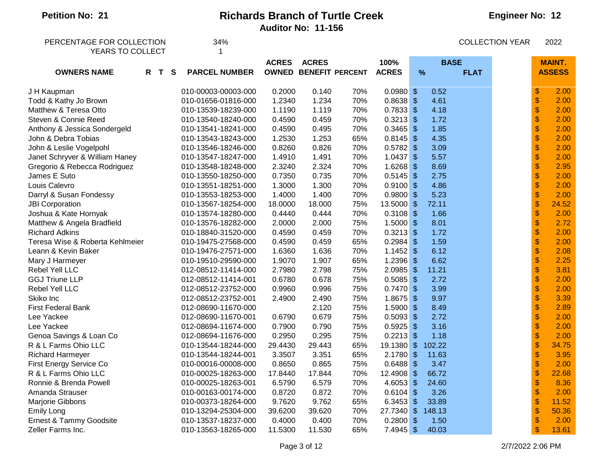| PERCENTAGE FOR COLLECTION       |       | 34%                  |              |                              |     |              | <b>COLLECTION YEAR</b>    |                  |  |                           | 2022          |
|---------------------------------|-------|----------------------|--------------|------------------------------|-----|--------------|---------------------------|------------------|--|---------------------------|---------------|
| YEARS TO COLLECT                |       | 1                    |              |                              |     |              |                           |                  |  |                           |               |
|                                 |       |                      | <b>ACRES</b> | <b>ACRES</b>                 |     | 100%         |                           | <b>BASE</b>      |  |                           | <b>MAINT.</b> |
| <b>OWNERS NAME</b>              | R T S | <b>PARCEL NUMBER</b> |              | <b>OWNED BENEFIT PERCENT</b> |     | <b>ACRES</b> |                           | %<br><b>FLAT</b> |  |                           | <b>ASSESS</b> |
|                                 |       |                      |              |                              |     |              |                           |                  |  |                           |               |
| J H Kaupman                     |       | 010-00003-00003-000  | 0.2000       | 0.140                        | 70% | $0.0980$ \$  |                           | 0.52             |  | $\,$                      | 2.00          |
| Todd & Kathy Jo Brown           |       | 010-01656-01816-000  | 1.2340       | 1.234                        | 70% | $0.8638$ \$  |                           | 4.61             |  | $\frac{1}{2}$             | 2.00          |
| Matthew & Teresa Otto           |       | 010-13539-18239-000  | 1.1190       | 1.119                        | 70% | $0.7833$ \$  |                           | 4.18             |  | \$                        | 2.00          |
| Steven & Connie Reed            |       | 010-13540-18240-000  | 0.4590       | 0.459                        | 70% | $0.3213$ \$  |                           | 1.72             |  | $\frac{1}{2}$             | 2.00          |
| Anthony & Jessica Sondergeld    |       | 010-13541-18241-000  | 0.4590       | 0.495                        | 70% | $0.3465$ \$  |                           | 1.85             |  | $\boldsymbol{\$}$         | 2.00          |
| John & Debra Tobias             |       | 010-13543-18243-000  | 1.2530       | 1.253                        | 65% | $0.8145$ \$  |                           | 4.35             |  | $\mathbb S$               | 2.00          |
| John & Leslie Vogelpohl         |       | 010-13546-18246-000  | 0.8260       | 0.826                        | 70% | 0.5782       | $\sqrt{3}$                | 3.09             |  | \$                        | 2.00          |
| Janet Schryver & William Haney  |       | 010-13547-18247-000  | 1.4910       | 1.491                        | 70% | $1.0437$ \$  |                           | 5.57             |  | $\mathbb S$               | 2.00          |
| Gregorio & Rebecca Rodriguez    |       | 010-13548-18248-000  | 2.3240       | 2.324                        | 70% | 1.6268       | $\sqrt{3}$                | 8.69             |  | $\boldsymbol{\mathsf{S}}$ | 2.95          |
| James E Suto                    |       | 010-13550-18250-000  | 0.7350       | 0.735                        | 70% | $0.5145$ \$  |                           | 2.75             |  | $\mathbb S$               | 2.00          |
| Louis Calevro                   |       | 010-13551-18251-000  | 1.3000       | 1.300                        | 70% | $0.9100$ \$  |                           | 4.86             |  | $\frac{1}{2}$             | 2.00          |
| Darryl & Susan Fondessy         |       | 010-13553-18253-000  | 1.4000       | 1.400                        | 70% | $0.9800$ \$  |                           | 5.23             |  | \$                        | 2.00          |
| <b>JBI Corporation</b>          |       | 010-13567-18254-000  | 18.0000      | 18.000                       | 75% | 13.5000      | $\sqrt[6]{3}$             | 72.11            |  | $\frac{1}{2}$             | 24.52         |
| Joshua & Kate Hornyak           |       | 010-13574-18280-000  | 0.4440       | 0.444                        | 70% | 0.3108       | $\sqrt{3}$                | 1.66             |  | $\boldsymbol{\$}$         | 2.00          |
| Matthew & Angela Bradfield      |       | 010-13576-18282-000  | 2.0000       | 2.000                        | 75% | $1.5000$ \$  |                           | 8.01             |  | \$                        | 2.72          |
| <b>Richard Adkins</b>           |       | 010-18840-31520-000  | 0.4590       | 0.459                        | 70% | $0.3213$ \$  |                           | 1.72             |  | \$                        | 2.00          |
| Teresa Wise & Roberta Kehlmeier |       | 010-19475-27568-000  | 0.4590       | 0.459                        | 65% | $0.2984$ \$  |                           | 1.59             |  | $\mathbb S$               | 2.00          |
| Leann & Kevin Baker             |       | 010-19476-27571-000  | 1.6360       | 1.636                        | 70% | $1.1452$ \$  |                           | 6.12             |  | $\boldsymbol{\mathsf{S}}$ | 2.08          |
| Mary J Harmeyer                 |       | 010-19510-29590-000  | 1.9070       | 1.907                        | 65% | 1.2396       | $\sqrt{3}$                | 6.62             |  | $\frac{1}{2}$             | 2.25          |
| Rebel Yell LLC                  |       | 012-08512-11414-000  | 2.7980       | 2.798                        | 75% | 2.0985       | $\sqrt{3}$                | 11.21            |  | $\frac{1}{2}$             | 3.81          |
| <b>GGJ Triune LLP</b>           |       | 012-08512-11414-001  | 0.6780       | 0.678                        | 75% | 0.5085       | $\mathfrak{s}$            | 2.72             |  | $\boldsymbol{\$}$         | 2.00          |
| Rebel Yell LLC                  |       | 012-08512-23752-000  | 0.9960       | 0.996                        | 75% | 0.7470       | $\sqrt[6]{3}$             | 3.99             |  | $\, \, \$                 | 2.00          |
| Skiko Inc                       |       | 012-08512-23752-001  | 2.4900       | 2.490                        | 75% | 1.8675       | $\sqrt{3}$                | 9.97             |  | $\mathbb S$               | 3.39          |
| First Federal Bank              |       | 012-08690-11670-000  |              | 2.120                        | 75% | $1.5900$ \$  |                           | 8.49             |  | $\mathbb S$               | 2.89          |
| Lee Yackee                      |       | 012-08690-11670-001  | 0.6790       | 0.679                        | 75% | $0.5093$ \$  |                           | 2.72             |  | \$                        | 2.00          |
| Lee Yackee                      |       | 012-08694-11674-000  | 0.7900       | 0.790                        | 75% | $0.5925$ \$  |                           | 3.16             |  | \$                        | 2.00          |
| Genoa Savings & Loan Co         |       | 012-08694-11676-000  | 0.2950       | 0.295                        | 75% | $0.2213$ \$  |                           | 1.18             |  | $\boldsymbol{\mathsf{S}}$ | 2.00          |
| R & L Farms Ohio LLC            |       | 010-13544-18244-000  | 29.4430      | 29.443                       | 65% | 19.1380      | $\sqrt[6]{\frac{1}{2}}$   | 102.22           |  | \$                        | 34.75         |
| <b>Richard Harmeyer</b>         |       | 010-13544-18244-001  | 3.3507       | 3.351                        | 65% | 2.1780       | $\boldsymbol{\mathsf{S}}$ | 11.63            |  | $\boldsymbol{\$}$         | 3.95          |
| First Energy Service Co         |       | 010-00016-00008-000  | 0.8650       | 0.865                        | 75% | 0.6488       | $\sqrt{3}$                | 3.47             |  | $\frac{1}{2}$             | 2.00          |
| R & L Farms Ohio LLC            |       | 010-00025-18263-000  | 17.8440      | 17.844                       | 70% | 12.4908 \$   |                           | 66.72            |  | $\boldsymbol{\$}$         | 22.68         |
| Ronnie & Brenda Powell          |       | 010-00025-18263-001  | 6.5790       | 6.579                        | 70% | 4.6053 \$    |                           | 24.60            |  | $\frac{1}{2}$             | 8.36          |
| Amanda Strauser                 |       | 010-00163-00174-000  | 0.8720       | 0.872                        | 70% | $0.6104$ \$  |                           | 3.26             |  | \$                        | 2.00          |
| Marjorie Gibbons                |       | 010-00373-18264-000  | 9.7620       | 9.762                        | 65% | $6.3453$ \$  |                           | 33.89            |  | $\boldsymbol{\$}$         | 11.52         |
| <b>Emily Long</b>               |       | 010-13294-25304-000  | 39.6200      | 39.620                       | 70% | 27.7340      | $\sqrt[6]{\frac{1}{2}}$   | 148.13           |  | \$                        | 50.36         |
| Ernest & Tammy Goodsite         |       | 010-13537-18237-000  | 0.4000       | 0.400                        | 70% | 0.2800       | $\sqrt{3}$                | 1.50             |  | $\mathbf{\$}$             | 2.00          |
| Zeller Farms Inc.               |       | 010-13563-18265-000  | 11.5300      | 11.530                       | 65% | 7.4945       | $\sqrt{3}$                | 40.03            |  | \$                        | 13.61         |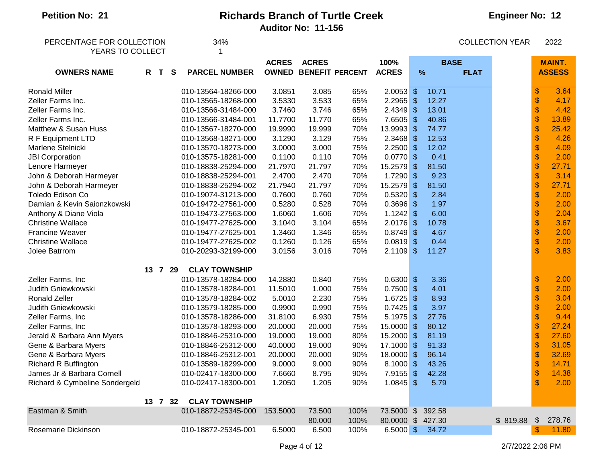| PERCENTAGE FOR COLLECTION      |         | 34%                  |              |              |                              |              | <b>COLLECTION YEAR</b>  |                     |          |                           | 2022          |
|--------------------------------|---------|----------------------|--------------|--------------|------------------------------|--------------|-------------------------|---------------------|----------|---------------------------|---------------|
| YEARS TO COLLECT               |         |                      |              |              |                              |              |                         |                     |          |                           |               |
|                                |         |                      | <b>ACRES</b> | <b>ACRES</b> |                              | 100%         |                         | <b>BASE</b>         |          |                           | <b>MAINT.</b> |
| <b>OWNERS NAME</b>             | R T S   | <b>PARCEL NUMBER</b> |              |              | <b>OWNED BENEFIT PERCENT</b> | <b>ACRES</b> |                         | $\%$<br><b>FLAT</b> |          |                           | <b>ASSESS</b> |
|                                |         |                      |              |              |                              |              |                         |                     |          |                           |               |
| <b>Ronald Miller</b>           |         | 010-13564-18266-000  | 3.0851       | 3.085        | 65%                          | $2.0053$ \$  |                         | 10.71               |          | \$                        | 3.64          |
| Zeller Farms Inc.              |         | 010-13565-18268-000  | 3.5330       | 3.533        | 65%                          | 2.2965       | $\sqrt{2}$              | 12.27               |          | $\frac{1}{2}$             | 4.17          |
| Zeller Farms Inc.              |         | 010-13566-31484-000  | 3.7460       | 3.746        | 65%                          | $2.4349$ \$  |                         | 13.01               |          | $\boldsymbol{\$}$         | 4.42          |
| Zeller Farms Inc.              |         | 010-13566-31484-001  | 11.7700      | 11.770       | 65%                          | 7.6505       | $\sqrt[6]{3}$           | 40.86               |          | $\boldsymbol{\$}$         | 13.89         |
| Matthew & Susan Huss           |         | 010-13567-18270-000  | 19.9990      | 19.999       | 70%                          | 13.9993      | $\sqrt{3}$              | 74.77               |          | $\boldsymbol{\$}$         | 25.42         |
| R F Equipment LTD              |         | 010-13568-18271-000  | 3.1290       | 3.129        | 75%                          | 2.3468       | $\sqrt[6]{\frac{1}{2}}$ | 12.53               |          | $\boldsymbol{\$}$         | 4.26          |
| Marlene Stelnicki              |         | 010-13570-18273-000  | 3.0000       | 3.000        | 75%                          | $2.2500$ \$  |                         | 12.02               |          | $\frac{1}{2}$             | 4.09          |
| <b>JBI Corporation</b>         |         | 010-13575-18281-000  | 0.1100       | 0.110        | 70%                          | 0.0770       | $\sqrt[6]{\frac{1}{2}}$ | 0.41                |          | $\boldsymbol{\$}$         | 2.00          |
| Lenore Harmeyer                |         | 010-18838-25294-000  | 21.7970      | 21.797       | 70%                          | 15.2579      | $\sqrt{2}$              | 81.50               |          | $\frac{1}{2}$             | 27.71         |
| John & Deborah Harmeyer        |         | 010-18838-25294-001  | 2.4700       | 2.470        | 70%                          | 1.7290       | $\sqrt[6]{\frac{1}{2}}$ | 9.23                |          | \$                        | 3.14          |
| John & Deborah Harmeyer        |         | 010-18838-25294-002  | 21.7940      | 21.797       | 70%                          | 15.2579      | $\sqrt{2}$              | 81.50               |          | $\boldsymbol{\$}$         | 27.71         |
| Toledo Edison Co               |         | 010-19074-31213-000  | 0.7600       | 0.760        | 70%                          | $0.5320$ \$  |                         | 2.84                |          | \$                        | 2.00          |
| Damian & Kevin Saionzkowski    |         | 010-19472-27561-000  | 0.5280       | 0.528        | 70%                          | 0.3696       | $\sqrt[6]{3}$           | 1.97                |          | $\boldsymbol{\$}$         | 2.00          |
| Anthony & Diane Viola          |         | 010-19473-27563-000  | 1.6060       | 1.606        | 70%                          | $1.1242$ \$  |                         | 6.00                |          | $\boldsymbol{\$}$         | 2.04          |
| <b>Christine Wallace</b>       |         | 010-19477-27625-000  | 3.1040       | 3.104        | 65%                          | 2.0176       | $\sqrt[6]{5}$           | 10.78               |          | $\,$                      | 3.67          |
| Francine Weaver                |         | 010-19477-27625-001  | 1.3460       | 1.346        | 65%                          | $0.8749$ \$  |                         | 4.67                |          | $\boldsymbol{\$}$         | 2.00          |
| <b>Christine Wallace</b>       |         | 010-19477-27625-002  | 0.1260       | 0.126        | 65%                          | $0.0819$ \$  |                         | 0.44                |          | $\boldsymbol{\$}$         | 2.00          |
| Jolee Batrrom                  |         | 010-20293-32199-000  | 3.0156       | 3.016        | 70%                          | $2.1109$ \$  |                         | 11.27               |          | $\mathfrak{S}$            | 3.83          |
|                                |         |                      |              |              |                              |              |                         |                     |          |                           |               |
|                                | 13 7 29 | <b>CLAY TOWNSHIP</b> |              |              |                              |              |                         |                     |          |                           |               |
| Zeller Farms, Inc              |         | 010-13578-18284-000  | 14.2880      | 0.840        | 75%                          | $0.6300$ \$  |                         | 3.36                |          | \$                        | 2.00          |
| Judith Gniewkowski             |         | 010-13578-18284-001  | 11.5010      | 1.000        | 75%                          | 0.7500       | $\frac{1}{2}$           | 4.01                |          | $\boldsymbol{\$}$         | 2.00          |
| Ronald Zeller                  |         | 010-13578-18284-002  | 5.0010       | 2.230        | 75%                          | 1.6725       | $\sqrt{2}$              | 8.93                |          | $\boldsymbol{\$}$         | 3.04          |
| Judith Gniewkowski             |         | 010-13579-18285-000  | 0.9900       | 0.990        | 75%                          | 0.7425       | $\sqrt{3}$              | 3.97                |          | $\,$                      | 2.00          |
| Zeller Farms, Inc              |         | 010-13578-18286-000  | 31.8100      | 6.930        | 75%                          | 5.1975       | $\sqrt{3}$              | 27.76               |          | $\frac{1}{2}$             | 9.44          |
| Zeller Farms, Inc              |         | 010-13578-18293-000  | 20.0000      | 20.000       | 75%                          | 15.0000      | $\sqrt{3}$              | 80.12               |          | \$                        | 27.24         |
| Jerald & Barbara Ann Myers     |         | 010-18846-25310-000  | 19.0000      | 19.000       | 80%                          | 15.2000      | $\sqrt[6]{3}$           | 81.19               |          | $\frac{1}{2}$             | 27.60         |
| Gene & Barbara Myers           |         | 010-18846-25312-000  | 40.0000      | 19.000       | 90%                          | 17.1000 \$   |                         | 91.33               |          | $\boldsymbol{\$}$         | 31.05         |
| Gene & Barbara Myers           |         | 010-18846-25312-001  | 20.0000      | 20,000       | 90%                          | 18.0000 \$   |                         | 96.14               |          | $\,$                      | 32.69         |
| <b>Richard R Buffington</b>    |         | 010-13589-18299-000  | 9.0000       | 9.000        | 90%                          | $8.1000$ \$  |                         | 43.26               |          | $\frac{1}{2}$             | 14.71         |
| James Jr & Barbara Cornell     |         | 010-02417-18300-000  | 7.6660       | 8.795        | 90%                          | 7.9155       | $\sqrt{2}$              | 42.28               |          | $\boldsymbol{\$}$         | 14.38         |
| Richard & Cymbeline Sondergeld |         | 010-02417-18300-001  | 1.2050       | 1.205        | 90%                          | $1.0845$ \$  |                         | 5.79                |          | \$                        | 2.00          |
|                                | 13 7 32 | <b>CLAY TOWNSHIP</b> |              |              |                              |              |                         |                     |          |                           |               |
| Eastman & Smith                |         | 010-18872-25345-000  | 153.5000     | 73.500       | 100%                         | 73.5000 \$   |                         | 392.58              |          |                           |               |
|                                |         |                      |              | 80.000       | 100%                         | 80.0000 \$   |                         | 427.30              | \$819.88 | $\boldsymbol{\mathsf{S}}$ | 278.76        |
| Rosemarie Dickinson            |         | 010-18872-25345-001  | 6.5000       | 6.500        | 100%                         | $6.5000$ \$  |                         | 34.72               |          | $\boldsymbol{\mathsf{S}}$ | 11.80         |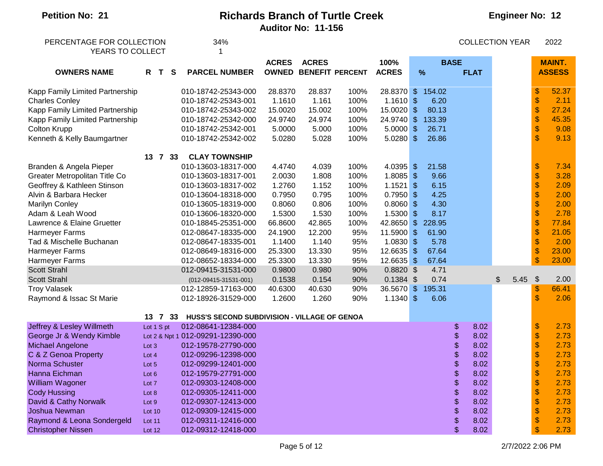# **Engineer No: 12**

| PERCENTAGE FOR COLLECTION       |        |            |   | 34%                                          |              |              |                              |              |               |             | <b>COLLECTION YEAR</b> |                           | 2022          |
|---------------------------------|--------|------------|---|----------------------------------------------|--------------|--------------|------------------------------|--------------|---------------|-------------|------------------------|---------------------------|---------------|
| YEARS TO COLLECT                |        |            |   |                                              |              |              |                              |              |               |             |                        |                           |               |
|                                 |        |            |   |                                              | <b>ACRES</b> | <b>ACRES</b> |                              | 100%         |               | <b>BASE</b> |                        |                           | <b>MAINT.</b> |
| <b>OWNERS NAME</b>              |        | R T        | S | <b>PARCEL NUMBER</b>                         |              |              | <b>OWNED BENEFIT PERCENT</b> | <b>ACRES</b> | $\frac{9}{6}$ | <b>FLAT</b> |                        |                           | <b>ASSESS</b> |
|                                 |        |            |   |                                              |              |              |                              |              |               |             |                        |                           |               |
| Kapp Family Limited Partnership |        |            |   | 010-18742-25343-000                          | 28.8370      | 28.837       | 100%                         | 28.8370 \$   | 154.02        |             |                        | \$                        | 52.37         |
| <b>Charles Conley</b>           |        |            |   | 010-18742-25343-001                          | 1.1610       | 1.161        | 100%                         | $1.1610$ \$  | 6.20          |             |                        | \$                        | 2.11          |
| Kapp Family Limited Partnership |        |            |   | 010-18742-25343-002                          | 15.0020      | 15.002       | 100%                         | 15.0020 \$   | 80.13         |             |                        | \$                        | 27.24         |
| Kapp Family Limited Partnership |        |            |   | 010-18742-25342-000                          | 24.9740      | 24.974       | 100%                         | 24.9740 \$   | 133.39        |             |                        | $\frac{1}{2}$             | 45.35         |
| Colton Krupp                    |        |            |   | 010-18742-25342-001                          | 5.0000       | 5.000        | 100%                         | $5.0000$ \$  | 26.71         |             |                        | $\boldsymbol{\$}$         | 9.08          |
| Kenneth & Kelly Baumgartner     |        |            |   | 010-18742-25342-002                          | 5.0280       | 5.028        | 100%                         | $5.0280$ \$  | 26.86         |             |                        | \$                        | 9.13          |
|                                 |        | 13 7 33    |   | <b>CLAY TOWNSHIP</b>                         |              |              |                              |              |               |             |                        |                           |               |
| Branden & Angela Pieper         |        |            |   | 010-13603-18317-000                          | 4.4740       | 4.039        | 100%                         | 4.0395 \$    | 21.58         |             |                        | \$                        | 7.34          |
| Greater Metropolitan Title Co   |        |            |   | 010-13603-18317-001                          | 2.0030       | 1.808        | 100%                         | $1.8085$ \$  | 9.66          |             |                        | \$                        | 3.28          |
| Geoffrey & Kathleen Stinson     |        |            |   | 010-13603-18317-002                          | 1.2760       | 1.152        | 100%                         | $1.1521$ \$  | 6.15          |             |                        | \$                        | 2.09          |
| Alvin & Barbara Hecker          |        |            |   | 010-13604-18318-000                          | 0.7950       | 0.795        | 100%                         | $0.7950$ \$  | 4.25          |             |                        | \$                        | 2.00          |
| <b>Marilyn Conley</b>           |        |            |   | 010-13605-18319-000                          | 0.8060       | 0.806        | 100%                         | $0.8060$ \$  | 4.30          |             |                        | \$                        | 2.00          |
| Adam & Leah Wood                |        |            |   | 010-13606-18320-000                          | 1.5300       | 1.530        | 100%                         | $1.5300$ \$  | 8.17          |             |                        | $\boldsymbol{\$}$         | 2.78          |
| Lawrence & Elaine Gruetter      |        |            |   | 010-18845-25351-000                          | 66.8600      | 42.865       | 100%                         | 42.8650 \$   | 228.95        |             |                        | \$                        | 77.84         |
| Harmeyer Farms                  |        |            |   | 012-08647-18335-000                          | 24.1900      | 12.200       | 95%                          | 11.5900 \$   | 61.90         |             |                        | \$                        | 21.05         |
| Tad & Mischelle Buchanan        |        |            |   | 012-08647-18335-001                          | 1.1400       | 1.140        | 95%                          | $1.0830$ \$  | 5.78          |             |                        | \$                        | 2.00          |
| Harmeyer Farms                  |        |            |   | 012-08649-18316-000                          | 25.3300      | 13.330       | 95%                          | 12.6635 \$   | 67.64         |             |                        | \$                        | 23.00         |
| Harmeyer Farms                  |        |            |   | 012-08652-18334-000                          | 25.3300      | 13.330       | 95%                          | 12.6635 \$   | 67.64         |             |                        | \$                        | 23.00         |
| <b>Scott Strahl</b>             |        |            |   | 012-09415-31531-000                          | 0.9800       | 0.980        | 90%                          | $0.8820$ \$  | 4.71          |             |                        |                           |               |
| <b>Scott Strahl</b>             |        |            |   | $(012 - 09415 - 31531 - 001)$                | 0.1538       | 0.154        | 90%                          | $0.1384$ \$  | 0.74          |             | 5.45<br>\$             | $\frac{1}{2}$             | 2.00          |
| <b>Troy Valasek</b>             |        |            |   | 012-12859-17163-000                          | 40.6300      | 40.630       | 90%                          | 36.5670 \$   | 195.31        |             |                        | \$                        | 66.41         |
| Raymond & Issac St Marie        |        |            |   | 012-18926-31529-000                          | 1.2600       | 1.260        | 90%                          | $1.1340$ \$  | 6.06          |             |                        | \$                        | 2.06          |
|                                 |        | 13 7 33    |   | HUSS'S SECOND SUBDIVISION - VILLAGE OF GENOA |              |              |                              |              |               |             |                        |                           |               |
| Jeffrey & Lesley Willmeth       |        | Lot 1 S pt |   | 012-08641-12384-000                          |              |              |                              |              |               | \$<br>8.02  |                        | $\boldsymbol{\mathsf{S}}$ | 2.73          |
| George Jr & Wendy Kimble        |        |            |   | Lot 2 & Npt 1 012-09291-12390-000            |              |              |                              |              |               | \$<br>8.02  |                        | $\boldsymbol{\mathsf{S}}$ | 2.73          |
| Michael Angelone                | Lot 3  |            |   | 012-19578-27790-000                          |              |              |                              |              |               | \$<br>8.02  |                        | $\boldsymbol{\$}$         | 2.73          |
| C & Z Genoa Property            | Lot 4  |            |   | 012-09296-12398-000                          |              |              |                              |              |               | \$<br>8.02  |                        | \$                        | 2.73          |
| Norma Schuster                  | Lot 5  |            |   | 012-09299-12401-000                          |              |              |                              |              |               | 8.02        |                        | \$                        | 2.73          |
| Hanna Eichman                   | Lot 6  |            |   | 012-19579-27791-000                          |              |              |                              |              |               | \$<br>8.02  |                        | \$                        | 2.73          |
| William Wagoner                 | Lot 7  |            |   | 012-09303-12408-000                          |              |              |                              |              |               | \$<br>8.02  |                        | \$                        | 2.73          |
| <b>Cody Hussing</b>             | Lot 8  |            |   | 012-09305-12411-000                          |              |              |                              |              |               | \$<br>8.02  |                        | \$                        | 2.73          |
| David & Cathy Norwalk           | Lot 9  |            |   | 012-09307-12413-000                          |              |              |                              |              |               | \$<br>8.02  |                        | \$                        | 2.73          |
| Joshua Newman                   | Lot 10 |            |   | 012-09309-12415-000                          |              |              |                              |              |               | \$<br>8.02  |                        | \$                        | 2.73          |
| Raymond & Leona Sondergeld      | Lot 11 |            |   | 012-09311-12416-000                          |              |              |                              |              |               | \$<br>8.02  |                        | \$                        | 2.73          |
| <b>Christopher Nissen</b>       | Lot 12 |            |   | 012-09312-12418-000                          |              |              |                              |              |               | \$<br>8.02  |                        | \$                        | 2.73          |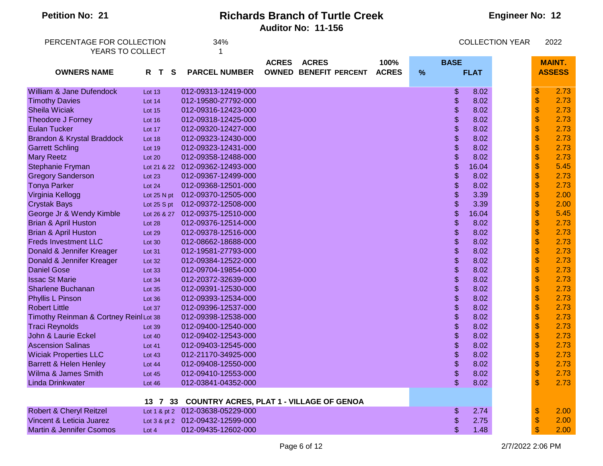| <b>Petition No: 21</b>                | <b>Richards Branch of Turtle Creek</b> |   |                                  |                                             |              |      |             | <b>Engineer No: 12</b> |                        |                           |               |  |  |
|---------------------------------------|----------------------------------------|---|----------------------------------|---------------------------------------------|--------------|------|-------------|------------------------|------------------------|---------------------------|---------------|--|--|
|                                       |                                        |   |                                  | <b>Auditor No: 11-156</b>                   |              |      |             |                        |                        |                           |               |  |  |
| PERCENTAGE FOR COLLECTION             |                                        |   | 34%                              |                                             |              |      |             |                        | <b>COLLECTION YEAR</b> |                           | 2022          |  |  |
| YEARS TO COLLECT                      |                                        |   |                                  |                                             |              |      |             |                        |                        |                           |               |  |  |
|                                       |                                        |   |                                  | <b>ACRES</b><br><b>ACRES</b>                | 100%         |      | <b>BASE</b> |                        |                        |                           | <b>MAINT.</b> |  |  |
| <b>OWNERS NAME</b>                    | R<br>$\mathbf T$                       | S | <b>PARCEL NUMBER</b>             | <b>OWNED</b><br><b>BENEFIT PERCENT</b>      | <b>ACRES</b> | $\%$ |             | <b>FLAT</b>            |                        |                           | <b>ASSESS</b> |  |  |
| William & Jane Dufendock              | Lot 13                                 |   | 012-09313-12419-000              |                                             |              |      | \$          | 8.02                   |                        | $\boldsymbol{\$}$         | 2.73          |  |  |
| <b>Timothy Davies</b>                 | Lot 14                                 |   | 012-19580-27792-000              |                                             |              |      | \$          | 8.02                   |                        | $\sqrt{3}$                | 2.73          |  |  |
| <b>Sheila Wiciak</b>                  | Lot 15                                 |   | 012-09316-12423-000              |                                             |              |      | \$          | 8.02                   |                        | $\frac{1}{2}$             | 2.73          |  |  |
| Theodore J Forney                     | Lot 16                                 |   | 012-09318-12425-000              |                                             |              |      | \$          | 8.02                   |                        | $\frac{1}{2}$             | 2.73          |  |  |
| <b>Eulan Tucker</b>                   | Lot 17                                 |   | 012-09320-12427-000              |                                             |              |      | \$          | 8.02                   |                        | $\boldsymbol{\mathsf{S}}$ | 2.73          |  |  |
| Brandon & Krystal Braddock            | Lot 18                                 |   | 012-09323-12430-000              |                                             |              |      | \$          | 8.02                   |                        | $\boldsymbol{\mathsf{S}}$ | 2.73          |  |  |
| <b>Garrett Schling</b>                | Lot 19                                 |   | 012-09323-12431-000              |                                             |              |      | \$          | 8.02                   |                        | $\boldsymbol{\mathsf{S}}$ | 2.73          |  |  |
| <b>Mary Reetz</b>                     | Lot 20                                 |   | 012-09358-12488-000              |                                             |              |      | \$          | 8.02                   |                        | \$                        | 2.73          |  |  |
| Stephanie Fryman                      | Lot 21 & 22                            |   | 012-09362-12493-000              |                                             |              |      | \$          | 16.04                  |                        | $\boldsymbol{\mathsf{S}}$ | 5.45          |  |  |
| <b>Gregory Sanderson</b>              | Lot 23                                 |   | 012-09367-12499-000              |                                             |              |      | \$          | 8.02                   |                        | $\boldsymbol{\mathsf{S}}$ | 2.73          |  |  |
| <b>Tonya Parker</b>                   | Lot 24                                 |   | 012-09368-12501-000              |                                             |              |      | \$          | 8.02                   |                        | $\boldsymbol{\mathsf{S}}$ | 2.73          |  |  |
| Virginia Kellogg                      | Lot 25 N pt                            |   | 012-09370-12505-000              |                                             |              |      | \$          | 3.39                   |                        | $\frac{1}{2}$             | 2.00          |  |  |
| <b>Crystak Bays</b>                   | Lot 25 S pt                            |   | 012-09372-12508-000              |                                             |              |      | \$          | 3.39                   |                        | $\boldsymbol{\$}$         | 2.00          |  |  |
| George Jr & Wendy Kimble              |                                        |   | Lot 26 & 27 012-09375-12510-000  |                                             |              |      | \$          | 16.04                  |                        | $\boldsymbol{\$}$         | 5.45          |  |  |
| <b>Brian &amp; April Huston</b>       | Lot 28                                 |   | 012-09376-12514-000              |                                             |              |      | \$          | 8.02                   |                        | $\boldsymbol{\$}$         | 2.73          |  |  |
| <b>Brian &amp; April Huston</b>       | Lot 29                                 |   | 012-09378-12516-000              |                                             |              |      | \$          | 8.02                   |                        | $\boldsymbol{\mathsf{S}}$ | 2.73          |  |  |
| <b>Freds Investment LLC</b>           | Lot 30                                 |   | 012-08662-18688-000              |                                             |              |      | \$          | 8.02                   |                        | $\boldsymbol{\mathsf{S}}$ | 2.73          |  |  |
| Donald & Jennifer Kreager             | Lot 31                                 |   | 012-19581-27793-000              |                                             |              |      | \$          | 8.02                   |                        | $\boldsymbol{\mathsf{S}}$ | 2.73          |  |  |
| Donald & Jennifer Kreager             | Lot 32                                 |   | 012-09384-12522-000              |                                             |              |      | \$          | 8.02                   |                        | $\frac{1}{2}$             | 2.73          |  |  |
| <b>Daniel Gose</b>                    | Lot 33                                 |   | 012-09704-19854-000              |                                             |              |      | \$          | 8.02                   |                        | $\frac{1}{2}$             | 2.73          |  |  |
| <b>Issac St Marie</b>                 | Lot 34                                 |   | 012-20372-32639-000              |                                             |              |      | \$          | 8.02                   |                        | $\frac{1}{2}$             | 2.73          |  |  |
| <b>Sharlene Buchanan</b>              | Lot 35                                 |   | 012-09391-12530-000              |                                             |              |      | \$          | 8.02                   |                        | $\frac{1}{2}$             | 2.73          |  |  |
| <b>Phyllis L Pinson</b>               | Lot 36                                 |   | 012-09393-12534-000              |                                             |              |      | \$          | 8.02                   |                        | $\frac{1}{2}$             | 2.73          |  |  |
| <b>Robert Little</b>                  | Lot 37                                 |   | 012-09396-12537-000              |                                             |              |      | \$          | 8.02                   |                        | $\boldsymbol{\mathsf{S}}$ | 2.73          |  |  |
| Timothy Reinman & Cortney ReinILot 38 |                                        |   | 012-09398-12538-000              |                                             |              |      | \$          | 8.02                   |                        | $\boldsymbol{\mathsf{S}}$ | 2.73          |  |  |
| <b>Traci Reynolds</b>                 | Lot 39                                 |   | 012-09400-12540-000              |                                             |              |      | \$          | 8.02                   |                        | $\boldsymbol{\mathsf{S}}$ | 2.73          |  |  |
| John & Laurie Eckel                   | <b>Lot 40</b>                          |   | 012-09402-12543-000              |                                             |              |      | \$          | 8.02                   |                        | $\frac{1}{2}$             | 2.73          |  |  |
| <b>Ascension Salinas</b>              | Lot $41$                               |   | 012-09403-12545-000              |                                             |              |      | \$          | 8.02                   |                        | $\mathbf{\$}$             | 2.73          |  |  |
| <b>Wiciak Properties LLC</b>          | Lot 43                                 |   | 012-21170-34925-000              |                                             |              |      | \$          | 8.02                   |                        | $\boldsymbol{\mathsf{s}}$ | 2.73          |  |  |
| <b>Barrett &amp; Helen Henley</b>     | Lot 44                                 |   | 012-09408-12550-000              |                                             |              |      |             | 8.02                   |                        | \$                        | 2.73          |  |  |
| Wilma & James Smith                   | Lot 45                                 |   | 012-09410-12553-000              |                                             |              |      | \$          | 8.02                   |                        | $\boldsymbol{\$}$         | 2.73          |  |  |
| <b>Linda Drinkwater</b>               | Lot 46                                 |   | 012-03841-04352-000              |                                             |              |      |             | 8.02                   |                        | $\mathbf{\$}$             | 2.73          |  |  |
|                                       | 13 7                                   |   |                                  | 33 COUNTRY ACRES, PLAT 1 - VILLAGE OF GENOA |              |      |             |                        |                        |                           |               |  |  |
| Robert & Cheryl Reitzel               |                                        |   | Lot 1 & pt 2 012-03638-05229-000 |                                             |              |      | \$.         | 2.74                   |                        | $\boldsymbol{\mathsf{S}}$ | 2.00          |  |  |
| Vincent & Leticia Juarez              |                                        |   | Lot 3 & pt 2 012-09432-12599-000 |                                             |              |      | \$          | 2.75                   |                        | \$                        | 2.00          |  |  |
| <b>Martin &amp; Jennifer Csomos</b>   | Lot 4                                  |   | 012-09435-12602-000              |                                             |              |      | \$          | 1.48                   |                        |                           | 2.00          |  |  |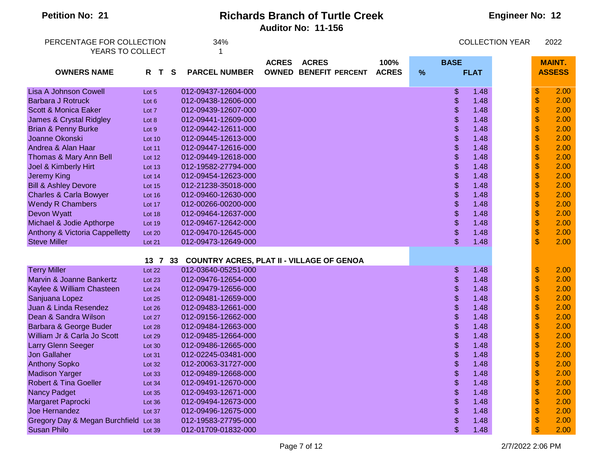| <b>Petition No: 21</b>                        | <b>Richards Branch of Turtle Creek</b><br><b>Engineer No: 12</b><br><b>Auditor No: 11-156</b> |          |                                                  |                              |  |              |               |               |             |                        |                   |               |
|-----------------------------------------------|-----------------------------------------------------------------------------------------------|----------|--------------------------------------------------|------------------------------|--|--------------|---------------|---------------|-------------|------------------------|-------------------|---------------|
| PERCENTAGE FOR COLLECTION<br>YEARS TO COLLECT |                                                                                               |          | 34%<br>1                                         |                              |  |              |               |               |             | <b>COLLECTION YEAR</b> |                   | 2022          |
|                                               |                                                                                               |          |                                                  | <b>ACRES</b><br><b>ACRES</b> |  | 100%         |               | <b>BASE</b>   |             |                        |                   | <b>MAINT.</b> |
| <b>OWNERS NAME</b>                            | R T                                                                                           | <b>S</b> | <b>PARCEL NUMBER</b>                             | <b>OWNED BENEFIT PERCENT</b> |  | <b>ACRES</b> | $\frac{9}{6}$ |               | <b>FLAT</b> |                        |                   | <b>ASSESS</b> |
| <b>Lisa A Johnson Cowell</b>                  | Lot 5                                                                                         |          | 012-09437-12604-000                              |                              |  |              |               | \$            | 1.48        |                        | \$                | 2.00          |
| <b>Barbara J Rotruck</b>                      | Lot 6                                                                                         |          | 012-09438-12606-000                              |                              |  |              |               | \$            | 1.48        |                        | $\frac{1}{2}$     | 2.00          |
| Scott & Monica Eaker                          | Lot 7                                                                                         |          | 012-09439-12607-000                              |                              |  |              |               | \$            | 1.48        |                        | $\frac{1}{2}$     | 2.00          |
| James & Crystal Ridgley                       | Lot 8                                                                                         |          | 012-09441-12609-000                              |                              |  |              |               | \$            | 1.48        |                        | $\boldsymbol{\$}$ | 2.00          |
| Brian & Penny Burke                           | Lot 9                                                                                         |          | 012-09442-12611-000                              |                              |  |              |               | \$            | 1.48        |                        | $\frac{1}{2}$     | 2.00          |
| Joanne Okonski                                | <b>Lot 10</b>                                                                                 |          | 012-09445-12613-000                              |                              |  |              |               | \$            | 1.48        |                        | $\boldsymbol{\$}$ | 2.00          |
| Andrea & Alan Haar                            | Lot 11                                                                                        |          | 012-09447-12616-000                              |                              |  |              |               | \$            | 1.48        |                        | \$                | 2.00          |
| Thomas & Mary Ann Bell                        | Lot 12                                                                                        |          | 012-09449-12618-000                              |                              |  |              |               | \$            | 1.48        |                        | \$                | 2.00          |
| Joel & Kimberly Hirt                          | Lot $13$                                                                                      |          | 012-19582-27794-000                              |                              |  |              |               | \$            | 1.48        |                        | \$                | 2.00          |
| <b>Jeremy King</b>                            | Lot 14                                                                                        |          | 012-09454-12623-000                              |                              |  |              |               | \$            | 1.48        |                        | \$                | 2.00          |
| <b>Bill &amp; Ashley Devore</b>               | <b>Lot 15</b>                                                                                 |          | 012-21238-35018-000                              |                              |  |              |               | \$            | 1.48        |                        | \$                | 2.00          |
| <b>Charles &amp; Carla Bowyer</b>             | Lot 16                                                                                        |          | 012-09460-12630-000                              |                              |  |              |               | \$            | 1.48        |                        | \$                | 2.00          |
| <b>Wendy R Chambers</b>                       | Lot 17                                                                                        |          | 012-00266-00200-000                              |                              |  |              |               | \$            | 1.48        |                        | \$                | 2.00          |
| Devon Wyatt                                   | Lot 18                                                                                        |          | 012-09464-12637-000                              |                              |  |              |               | \$            | 1.48        |                        | $\pmb{\$}$        | 2.00          |
| Michael & Jodie Apthorpe                      | Lot 19                                                                                        |          | 012-09467-12642-000                              |                              |  |              |               | \$            | 1.48        |                        | $\boldsymbol{\$}$ | 2.00          |
| Anthony & Victoria Cappelletty                | Lot 20                                                                                        |          | 012-09470-12645-000                              |                              |  |              |               | \$            | 1.48        |                        | \$                | 2.00          |
| <b>Steve Miller</b>                           | Lot 21                                                                                        |          | 012-09473-12649-000                              |                              |  |              |               | $\mathbf{\$}$ | 1.48        |                        | \$                | 2.00          |
|                                               | 13 7 33                                                                                       |          | <b>COUNTRY ACRES, PLAT II - VILLAGE OF GENOA</b> |                              |  |              |               |               |             |                        |                   |               |
| <b>Terry Miller</b>                           | Lot $22$                                                                                      |          | 012-03640-05251-000                              |                              |  |              |               | \$            | 1.48        |                        | \$                | 2.00          |
| Marvin & Joanne Bankertz                      | Lot 23                                                                                        |          | 012-09476-12654-000                              |                              |  |              |               | \$            | 1.48        |                        | $\frac{1}{2}$     | 2.00          |
| Kaylee & William Chasteen                     | Lot 24                                                                                        |          | 012-09479-12656-000                              |                              |  |              |               | \$            | 1.48        |                        | $\frac{1}{2}$     | 2.00          |
| Sanjuana Lopez                                | Lot 25                                                                                        |          | 012-09481-12659-000                              |                              |  |              |               | \$            | 1.48        |                        | $\bullet$         | 2.00          |
| Juan & Linda Resendez                         | Lot 26                                                                                        |          | 012-09483-12661-000                              |                              |  |              |               | \$            | 1.48        |                        | \$                | 2.00          |
| Dean & Sandra Wilson                          | Lot 27                                                                                        |          | 012-09156-12662-000                              |                              |  |              |               | \$            | 1.48        |                        | \$                | 2.00          |
| Barbara & George Buder                        | Lot 28                                                                                        |          | 012-09484-12663-000                              |                              |  |              |               | \$            | 1.48        |                        |                   | 2.00          |
| William Jr & Carla Jo Scott                   | Lot 29                                                                                        |          | 012-09485-12664-000                              |                              |  |              |               | \$            | 1.48        |                        |                   | 2.00          |
| Larry Glenn Seeger                            |                                                                                               |          | 012-09486-12665-000                              |                              |  |              |               |               | 1.48        |                        |                   | 2.00          |
| <b>Jon Gallaher</b>                           | Lot 30<br>Lot 31                                                                              |          | 012-02245-03481-000                              |                              |  |              |               | \$            | 1.48        |                        | \$                | 2.00          |
| <b>Anthony Sopko</b>                          | Lot 32                                                                                        |          | 012-20063-31727-000                              |                              |  |              |               | \$            | 1.48        |                        | \$                | 2.00          |
| <b>Madison Yarger</b>                         |                                                                                               |          | 012-09489-12668-000                              |                              |  |              |               | \$            | 1.48        |                        | \$                | 2.00          |
| <b>Robert &amp; Tina Goeller</b>              | Lot 33                                                                                        |          | 012-09491-12670-000                              |                              |  |              |               | \$            | 1.48        |                        |                   | 2.00          |
| <b>Nancy Padget</b>                           | Lot 34<br>Lot $35$                                                                            |          | 012-09493-12671-000                              |                              |  |              |               | \$            | 1.48        |                        |                   | 2.00          |
| Margaret Paprocki                             | Lot 36                                                                                        |          | 012-09494-12673-000                              |                              |  |              |               | \$            | 1.48        |                        |                   | 2.00          |
| Joe Hernandez                                 | Lot 37                                                                                        |          | 012-09496-12675-000                              |                              |  |              |               | \$            | 1.48        |                        |                   | 2.00          |
| Gregory Day & Megan Burchfield Lot 38         |                                                                                               |          | 012-19583-27795-000                              |                              |  |              |               | \$            | 1.48        |                        |                   | 2.00          |
| <b>Susan Philo</b>                            | Lot 39                                                                                        |          | 012-01709-01832-000                              |                              |  |              |               | \$            | 1.48        |                        |                   | 2.00          |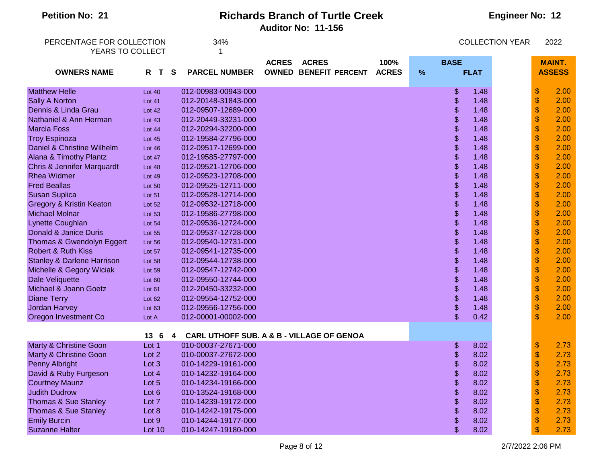| <b>Auditor No: 11-156</b>                                                                                                                     |               |
|-----------------------------------------------------------------------------------------------------------------------------------------------|---------------|
|                                                                                                                                               |               |
| PERCENTAGE FOR COLLECTION<br>34%<br><b>COLLECTION YEAR</b>                                                                                    | 2022          |
| YEARS TO COLLECT                                                                                                                              |               |
| <b>ACRES</b><br><b>ACRES</b><br>100%<br><b>BASE</b>                                                                                           | <b>MAINT.</b> |
| $\frac{9}{6}$<br><b>PARCEL NUMBER</b><br><b>OWNED BENEFIT PERCENT</b><br><b>ACRES</b><br><b>FLAT</b><br><b>OWNERS NAME</b><br>R T<br><b>S</b> | <b>ASSESS</b> |
|                                                                                                                                               |               |
| $\,$<br>\$<br><b>Matthew Helle</b><br>012-00983-00943-000<br>1.48<br>Lot $40$                                                                 | 2.00          |
| $\,$<br>\$<br>1.48<br><b>Sally A Norton</b><br>012-20148-31843-000<br><b>Lot 41</b>                                                           | 2.00          |
| $\boldsymbol{\$}$<br>\$<br>1.48<br>Dennis & Linda Grau<br>012-09507-12689-000<br><b>Lot 42</b>                                                | 2.00          |
| $\boldsymbol{\$}$<br>\$<br>Nathaniel & Ann Herman<br>1.48<br>012-20449-33231-000<br><b>Lot 43</b>                                             | 2.00          |
| $\frac{1}{2}$<br>\$<br><b>Marcia Foss</b><br>1.48<br>012-20294-32200-000<br>Lot 44                                                            | 2.00          |
| $\frac{1}{2}$<br>\$<br>1.48<br><b>Troy Espinoza</b><br>012-19584-27796-000<br><b>Lot 45</b>                                                   | 2.00          |
| $\frac{1}{2}$<br>\$<br>Daniel & Christine Wilhelm<br>1.48<br>012-09517-12699-000<br>Lot 46                                                    | 2.00          |
| $\boldsymbol{\$}$<br>\$<br>Alana & Timothy Plantz<br>1.48<br>012-19585-27797-000<br>Lot 47                                                    | 2.00          |
| $\boldsymbol{\$}$<br>\$<br><b>Chris &amp; Jennifer Marquardt</b><br>1.48<br>012-09521-12706-000<br>Lot 48                                     | 2.00          |
| $\boldsymbol{\$}$<br>\$<br><b>Rhea Widmer</b><br>1.48<br>012-09523-12708-000<br><b>Lot 49</b>                                                 | 2.00          |
| $\boldsymbol{\$}$<br>\$<br><b>Fred Beallas</b><br>1.48<br>012-09525-12711-000<br><b>Lot 50</b>                                                | 2.00          |
| $\boldsymbol{\$}$<br>\$<br><b>Susan Suplica</b><br>1.48<br>012-09528-12714-000<br><b>Lot 51</b>                                               | 2.00          |
| $\boldsymbol{\$}$<br>\$<br><b>Gregory &amp; Kristin Keaton</b><br>1.48<br>012-09532-12718-000<br>Lot 52                                       | 2.00          |
| $\frac{1}{2}$<br>\$<br><b>Michael Molnar</b><br>1.48<br>012-19586-27798-000<br>Lot 53                                                         | 2.00          |
| $\boldsymbol{\$}$<br>\$<br><b>Lynette Coughlan</b><br>1.48<br>012-09536-12724-000<br>Lot 54                                                   | 2.00          |
| $\boldsymbol{\$}$<br>Donald & Janice Duris<br>\$<br>1.48<br>012-09537-12728-000<br><b>Lot 55</b>                                              | 2.00          |
| $\,$<br>\$<br>1.48<br>Thomas & Gwendolyn Eggert<br>012-09540-12731-000<br>Lot 56                                                              | 2.00          |
| $\,$<br>\$<br><b>Robert &amp; Ruth Kiss</b><br>1.48<br>012-09541-12735-000<br>Lot 57                                                          | 2.00          |
| $\,$<br>\$<br><b>Stanley &amp; Darlene Harrison</b><br>012-09544-12738-000<br>1.48<br>Lot 58                                                  | 2.00          |
| $\boldsymbol{\$}$<br>\$<br>Michelle & Gegory Wiciak<br>1.48<br>012-09547-12742-000<br><b>Lot 59</b>                                           | 2.00          |
| $\boldsymbol{\$}$<br>\$<br><b>Dale Veliquette</b><br>1.48<br>012-09550-12744-000<br>Lot 60                                                    | 2.00          |
| $\frac{1}{2}$<br>\$<br>Michael & Joann Goetz<br>1.48<br>012-20450-33232-000<br>Lot 61                                                         | 2.00          |
| $\boldsymbol{\mathsf{S}}$<br>\$<br><b>Diane Terry</b><br>012-09554-12752-000<br>1.48<br>Lot 62                                                | 2.00          |
| $\boldsymbol{\mathsf{S}}$<br>\$<br>1.48<br>Jordan Harvey<br>012-09556-12756-000<br>Lot 63                                                     | 2.00          |
| $\mathfrak{S}$<br>\$<br>0.42<br>Oregon Investment Co<br>012-00001-00002-000<br>Lot A                                                          | 2.00          |
| <b>CARL UTHOFF SUB. A &amp; B - VILLAGE OF GENOA</b><br>13<br>-6<br>4                                                                         |               |
| \$<br>\$<br><b>Marty &amp; Christine Goon</b><br>010-00037-27671-000<br>8.02<br>Lot 1                                                         | 2.73          |
| Marty & Christine Goon<br>Lot 2<br>010-00037-27672-000<br>\$<br>8.02<br>\$                                                                    | 2.73          |
| $\boldsymbol{\$}$<br>\$<br><b>Penny Albright</b><br>8.02<br>Lot 3<br>010-14229-19161-000                                                      | 2.73          |
| $\pmb{\$}$<br>\$<br>David & Ruby Furgeson<br>8.02<br>Lot 4<br>010-14232-19164-000                                                             | 2.73          |
| $\pmb{\$}$<br><b>Courtney Maunz</b><br>\$<br>8.02<br>Lot 5<br>010-14234-19166-000                                                             | 2.73          |
| $\pmb{\$}$<br><b>Judith Dudrow</b><br>\$<br>8.02<br>Lot 6<br>010-13524-19168-000                                                              | 2.73          |
| $\pmb{\$}$<br>Thomas & Sue Stanley<br>\$<br>8.02<br>Lot 7<br>010-14239-19172-000                                                              | 2.73          |
| $\pmb{\$}$<br>Thomas & Sue Stanley<br>\$<br>8.02<br>Lot 8<br>010-14242-19175-000                                                              | 2.73          |
| $\pmb{\$}$<br><b>Emily Burcin</b><br>010-14244-19177-000<br>\$<br>8.02<br>Lot 9                                                               | 2.73          |
| \$<br><b>Suzanne Halter</b><br><b>Lot 10</b><br>010-14247-19180-000<br>\$<br>8.02                                                             | 2.73          |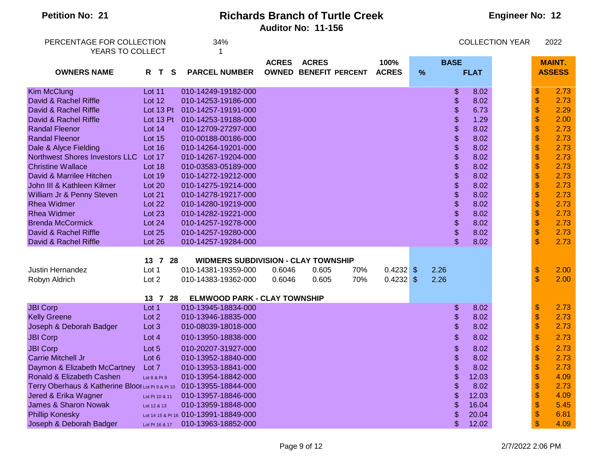| <b>Petition No: 21</b>                            | <b>Richards Branch of Turtle Creek</b><br><b>Auditor No: 11-156</b> |                                            |              |                                              |     |                      |   |             |             |                        | <b>Engineer No: 12</b>    |                                |  |
|---------------------------------------------------|---------------------------------------------------------------------|--------------------------------------------|--------------|----------------------------------------------|-----|----------------------|---|-------------|-------------|------------------------|---------------------------|--------------------------------|--|
| PERCENTAGE FOR COLLECTION<br>YEARS TO COLLECT     |                                                                     | 34%                                        |              |                                              |     |                      |   |             |             | <b>COLLECTION YEAR</b> |                           | 2022                           |  |
| <b>OWNERS NAME</b>                                | R T S                                                               | <b>PARCEL NUMBER</b>                       | <b>ACRES</b> | <b>ACRES</b><br><b>OWNED BENEFIT PERCENT</b> |     | 100%<br><b>ACRES</b> | % | <b>BASE</b> | <b>FLAT</b> |                        |                           | <b>MAINT.</b><br><b>ASSESS</b> |  |
| <b>Kim McClung</b>                                | <b>Lot 11</b>                                                       | 010-14249-19182-000                        |              |                                              |     |                      |   | \$          | 8.02        |                        | \$                        | 2.73                           |  |
| David & Rachel Riffle                             | <b>Lot 12</b>                                                       | 010-14253-19186-000                        |              |                                              |     |                      |   | \$          | 8.02        |                        | \$                        | 2.73                           |  |
| David & Rachel Riffle                             | Lot 13 Pt                                                           | 010-14257-19191-000                        |              |                                              |     |                      |   | \$          | 6.73        |                        | \$                        | 2.29                           |  |
| David & Rachel Riffle                             | Lot 13 Pt                                                           | 010-14253-19188-000                        |              |                                              |     |                      |   | \$          | 1.29        |                        | \$                        | 2.00                           |  |
| <b>Randal Fleenor</b>                             | <b>Lot 14</b>                                                       | 010-12709-27297-000                        |              |                                              |     |                      |   | \$          | 8.02        |                        | \$                        | 2.73                           |  |
| <b>Randal Fleenor</b>                             | <b>Lot 15</b>                                                       | 010-00188-00186-000                        |              |                                              |     |                      |   | \$          | 8.02        |                        | \$                        | 2.73                           |  |
| Dale & Alyce Fielding                             | Lot 16                                                              | 010-14264-19201-000                        |              |                                              |     |                      |   | \$          | 8.02        |                        | \$                        | 2.73                           |  |
| Northwest Shores Investors LLC                    | Lot 17                                                              | 010-14267-19204-000                        |              |                                              |     |                      |   | \$          | 8.02        |                        | \$                        | 2.73                           |  |
| <b>Christine Wallace</b>                          | Lot 18                                                              | 010-03583-05189-000                        |              |                                              |     |                      |   | \$          | 8.02        |                        | \$                        | 2.73                           |  |
| David & Marrilee Hitchen                          | <b>Lot 19</b>                                                       | 010-14272-19212-000                        |              |                                              |     |                      |   | \$          | 8.02        |                        | \$                        | 2.73                           |  |
| John III & Kathleen Kilmer                        | Lot 20                                                              | 010-14275-19214-000                        |              |                                              |     |                      |   | \$          | 8.02        |                        | \$                        | 2.73                           |  |
| William Jr & Penny Steven                         | Lot 21                                                              | 010-14278-19217-000                        |              |                                              |     |                      |   | \$          | 8.02        |                        | \$                        | 2.73                           |  |
| <b>Rhea Widmer</b>                                | Lot 22                                                              | 010-14280-19219-000                        |              |                                              |     |                      |   | \$          | 8.02        |                        | \$                        | 2.73                           |  |
| <b>Rhea Widmer</b>                                | <b>Lot 23</b>                                                       | 010-14282-19221-000                        |              |                                              |     |                      |   | \$          | 8.02        |                        | \$                        | 2.73                           |  |
| <b>Brenda McCormick</b>                           | Lot 24                                                              | 010-14257-19278-000                        |              |                                              |     |                      |   | \$          | 8.02        |                        | \$                        | 2.73                           |  |
| David & Rachel Riffle                             | Lot 25                                                              | 010-14257-19280-000                        |              |                                              |     |                      |   | \$          | 8.02        |                        | \$                        | 2.73                           |  |
| David & Rachel Riffle                             | Lot 26                                                              | 010-14257-19284-000                        |              |                                              |     |                      |   | \$          | 8.02        |                        | $\mathbb{S}$              | 2.73                           |  |
|                                                   | 13 7 28                                                             | <b>WIDMERS SUBDIVISION - CLAY TOWNSHIP</b> |              |                                              |     |                      |   |             |             |                        |                           |                                |  |
| Justin Hernandez                                  | Lot 1                                                               | 010-14381-19359-000                        | 0.6046       | 0.605                                        | 70% | $0.4232$ \$          |   | 2.26        |             |                        | $\boldsymbol{\mathsf{S}}$ | 2.00                           |  |
| Robyn Aldrich                                     | Lot 2                                                               | 010-14383-19362-000                        | 0.6046       | 0.605                                        | 70% | $0.4232$ \$          |   | 2.26        |             |                        | $\mathfrak{s}$            | 2.00                           |  |
|                                                   | 13 7 28                                                             | <b>ELMWOOD PARK - CLAY TOWNSHIP</b>        |              |                                              |     |                      |   |             |             |                        |                           |                                |  |
| <b>JBI Corp</b>                                   | Lot 1                                                               | 010-13945-18834-000                        |              |                                              |     |                      |   | \$          | 8.02        |                        | \$                        | 2.73                           |  |
| <b>Kelly Greene</b>                               | Lot 2                                                               | 010-13946-18835-000                        |              |                                              |     |                      |   | \$          | 8.02        |                        | \$                        | 2.73                           |  |
| Joseph & Deborah Badger                           | Lot 3                                                               | 010-08039-18018-000                        |              |                                              |     |                      |   | \$          | 8.02        |                        | \$                        | 2.73                           |  |
| <b>JBI Corp</b>                                   | Lot 4                                                               | 010-13950-18838-000                        |              |                                              |     |                      |   | \$          | 8.02        |                        | $\frac{1}{2}$             | 2.73                           |  |
| <b>JBI Corp</b>                                   | Lot 5                                                               | 010-20207-31927-000                        |              |                                              |     |                      |   | \$          | 8.02        |                        | \$                        | 2.73                           |  |
| <b>Carrie Mitchell Jr</b>                         | Lot 6                                                               | 010-13952-18840-000                        |              |                                              |     |                      |   | \$          | 8.02        |                        | \$                        | 2.73                           |  |
| Daymon & Elizabeth McCartney                      | Lot 7                                                               | 010-13953-18841-000                        |              |                                              |     |                      |   |             | 8.02        |                        | \$                        | 2.73                           |  |
| Ronald & Elizabeth Cashen                         | Lot 8 & Pt 9                                                        | 010-13954-18842-000                        |              |                                              |     |                      |   | \$          | 12.03       |                        | \$                        | 4.09                           |  |
| Terry Oberhaus & Katherine Bloor Lot Pt 9 & Pt 10 |                                                                     | 010-13955-18844-000                        |              |                                              |     |                      |   | \$          | 8.02        |                        | \$                        | 2.73                           |  |
| Jered & Erika Wagner                              | Lot Pt 10 & 11                                                      | 010-13957-18846-000                        |              |                                              |     |                      |   | \$          | 12.03       |                        | \$                        | 4.09                           |  |
| <b>James &amp; Sharon Nowak</b>                   | Lot 12 & 13                                                         | 010-13959-18848-000                        |              |                                              |     |                      |   | \$          | 16.04       |                        | \$                        | 5.45                           |  |
| <b>Phillip Konesky</b>                            |                                                                     | Lot 14 15 & Pt 16 010-13991-18849-000      |              |                                              |     |                      |   | \$          | 20.04       |                        | \$                        | 6.81                           |  |
| Joseph & Deborah Badger                           | Lot Pt 16 & 17                                                      | 010-13963-18852-000                        |              |                                              |     |                      |   | \$          | 12.02       |                        | \$                        | 4.09                           |  |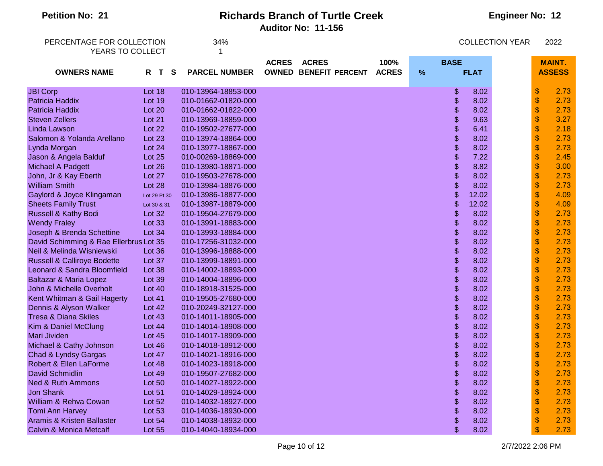| PERCENTAGE FOR COLLECTION              |               |   | 34%                  |              |                              |              |   |                           |             | <b>COLLECTION YEAR</b> |                           | 2022          |
|----------------------------------------|---------------|---|----------------------|--------------|------------------------------|--------------|---|---------------------------|-------------|------------------------|---------------------------|---------------|
| YEARS TO COLLECT                       |               |   |                      |              |                              |              |   |                           |             |                        |                           |               |
|                                        |               |   |                      | <b>ACRES</b> | <b>ACRES</b>                 | 100%         |   | <b>BASE</b>               |             |                        |                           | <b>MAINT.</b> |
| <b>OWNERS NAME</b>                     | R T           | S | <b>PARCEL NUMBER</b> |              | <b>OWNED BENEFIT PERCENT</b> | <b>ACRES</b> | % |                           | <b>FLAT</b> |                        |                           | <b>ASSESS</b> |
|                                        |               |   |                      |              |                              |              |   |                           |             |                        |                           |               |
| <b>JBI Corp</b>                        | Lot 18        |   | 010-13964-18853-000  |              |                              |              |   | \$                        | 8.02        |                        | \$                        | 2.73          |
| Patricia Haddix                        | Lot 19        |   | 010-01662-01820-000  |              |                              |              |   | \$                        | 8.02        |                        | $\boldsymbol{\$}$         | 2.73          |
| <b>Patricia Haddix</b>                 | Lot 20        |   | 010-01662-01822-000  |              |                              |              |   | \$                        | 8.02        |                        | $\frac{1}{2}$             | 2.73          |
| <b>Steven Zellers</b>                  | Lot 21        |   | 010-13969-18859-000  |              |                              |              |   | \$                        | 9.63        |                        | $\boldsymbol{\mathsf{S}}$ | 3.27          |
| Linda Lawson                           | Lot 22        |   | 010-19502-27677-000  |              |                              |              |   | \$                        | 6.41        |                        | $\mathsf{\$}$             | 2.18          |
| Salomon & Yolanda Arellano             | Lot 23        |   | 010-13974-18864-000  |              |                              |              |   | \$                        | 8.02        |                        | $\boldsymbol{\$}$         | 2.73          |
| Lynda Morgan                           | Lot 24        |   | 010-13977-18867-000  |              |                              |              |   | \$                        | 8.02        |                        | $\boldsymbol{\$}$         | 2.73          |
| Jason & Angela Balduf                  | Lot 25        |   | 010-00269-18869-000  |              |                              |              |   | \$                        | 7.22        |                        | $\boldsymbol{\$}$         | 2.45          |
| Michael A Padgett                      | Lot 26        |   | 010-13980-18871-000  |              |                              |              |   | \$                        | 8.82        |                        | $\boldsymbol{\$}$         | 3.00          |
| John, Jr & Kay Eberth                  | Lot 27        |   | 010-19503-27678-000  |              |                              |              |   | \$                        | 8.02        |                        | $\boldsymbol{\$}$         | 2.73          |
| <b>William Smith</b>                   | Lot 28        |   | 010-13984-18876-000  |              |                              |              |   | \$                        | 8.02        |                        | \$                        | 2.73          |
| Gaylord & Joyce Klingaman              | Lot 29 Pt 30  |   | 010-13986-18877-000  |              |                              |              |   | \$                        | 12.02       |                        | $\frac{1}{2}$             | 4.09          |
| <b>Sheets Family Trust</b>             | Lot 30 & 31   |   | 010-13987-18879-000  |              |                              |              |   | \$                        | 12.02       |                        | \$                        | 4.09          |
| Russell & Kathy Bodi                   | <b>Lot 32</b> |   | 010-19504-27679-000  |              |                              |              |   | \$                        | 8.02        |                        | $\frac{1}{2}$             | 2.73          |
| <b>Wendy Fraley</b>                    | Lot 33        |   | 010-13991-18883-000  |              |                              |              |   | \$                        | 8.02        |                        | $\mathbb S$               | 2.73          |
| Joseph & Brenda Schettine              | Lot 34        |   | 010-13993-18884-000  |              |                              |              |   | \$                        | 8.02        |                        | $\boldsymbol{\$}$         | 2.73          |
| David Schimming & Rae Ellerbrus Lot 35 |               |   | 010-17256-31032-000  |              |                              |              |   | \$                        | 8.02        |                        | $\boldsymbol{\mathsf{S}}$ | 2.73          |
| Neil & Melinda Wisniewski              | Lot 36        |   | 010-13996-18888-000  |              |                              |              |   | \$                        | 8.02        |                        | $\, \, \$                 | 2.73          |
| <b>Russell &amp; Calliroye Bodette</b> | Lot 37        |   | 010-13999-18891-000  |              |                              |              |   | \$                        | 8.02        |                        | $\boldsymbol{\$}$         | 2.73          |
| Leonard & Sandra Bloomfield            | Lot 38        |   | 010-14002-18893-000  |              |                              |              |   | \$                        | 8.02        |                        | \$                        | 2.73          |
| Baltazar & Maria Lopez                 | Lot 39        |   | 010-14004-18896-000  |              |                              |              |   | \$                        | 8.02        |                        | $\frac{1}{2}$             | 2.73          |
| John & Michelle Overholt               | Lot 40        |   | 010-18918-31525-000  |              |                              |              |   | \$                        | 8.02        |                        | \$                        | 2.73          |
| Kent Whitman & Gail Hagerty            | Lot 41        |   | 010-19505-27680-000  |              |                              |              |   | \$                        | 8.02        |                        | $\frac{1}{2}$             | 2.73          |
| Dennis & Alyson Walker                 | Lot 42        |   | 010-20249-32127-000  |              |                              |              |   | \$                        | 8.02        |                        | $\mathbb S$               | 2.73          |
| <b>Tresa &amp; Diana Skiles</b>        | Lot $43$      |   | 010-14011-18905-000  |              |                              |              |   | \$                        | 8.02        |                        | $\frac{1}{2}$             | 2.73          |
| Kim & Daniel McClung                   | Lot $44$      |   | 010-14014-18908-000  |              |                              |              |   | $\boldsymbol{\mathsf{S}}$ | 8.02        |                        | $\boldsymbol{\mathsf{S}}$ | 2.73          |
| Mari Jividen                           | Lot 45        |   | 010-14017-18909-000  |              |                              |              |   | \$                        | 8.02        |                        | $\, \, \$                 | 2.73          |
| Michael & Cathy Johnson                | Lot 46        |   | 010-14018-18912-000  |              |                              |              |   | \$                        | 8.02        |                        | $\boldsymbol{\$}$         | 2.73          |
| Chad & Lyndsy Gargas                   | Lot 47        |   | 010-14021-18916-000  |              |                              |              |   | \$                        | 8.02        |                        | \$                        | 2.73          |
| Robert & Ellen LaForme                 | Lot 48        |   | 010-14023-18918-000  |              |                              |              |   | \$                        | 8.02        |                        | $\frac{1}{2}$             | 2.73          |
| <b>David Schmidlin</b>                 | <b>Lot 49</b> |   | 010-19507-27682-000  |              |                              |              |   | \$                        | 8.02        |                        | \$                        | 2.73          |
| <b>Ned &amp; Ruth Ammons</b>           | Lot 50        |   | 010-14027-18922-000  |              |                              |              |   | \$                        | 8.02        |                        | $\frac{1}{2}$             | 2.73          |
| <b>Jon Shank</b>                       | Lot 51        |   | 010-14029-18924-000  |              |                              |              |   | \$                        | 8.02        |                        | $\mathbb S$               | 2.73          |
| William & Rehva Cowan                  | Lot 52        |   | 010-14032-18927-000  |              |                              |              |   | \$                        | 8.02        |                        | $\frac{1}{2}$             | 2.73          |
| <b>Tomi Ann Harvey</b>                 | <b>Lot 53</b> |   | 010-14036-18930-000  |              |                              |              |   | \$                        | 8.02        |                        | \$                        | 2.73          |
| Aramis & Kristen Ballaster             | Lot $54$      |   | 010-14038-18932-000  |              |                              |              |   | \$                        | 8.02        |                        | $\mathsf{\$}$             | 2.73          |
| Calvin & Monica Metcalf                | Lot 55        |   | 010-14040-18934-000  |              |                              |              |   | \$                        | 8.02        |                        | $\mathbf{\$}$             | 2.73          |

**Engineer No: 12**

**Petition No: 21 Richards Branch of Turtle Creek**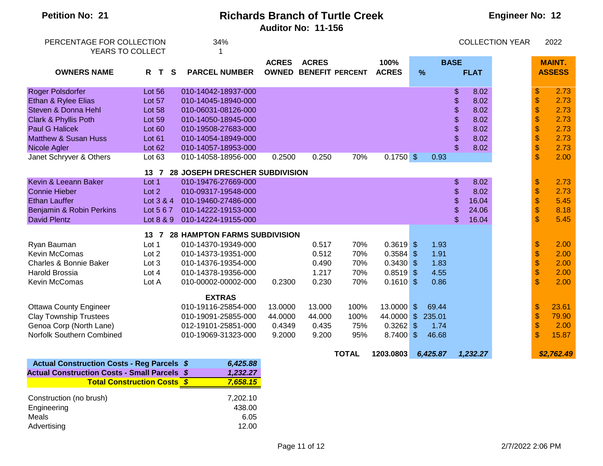| <b>Petition No: 21</b>                                                                                                                                                                        | <b>Richards Branch of Turtle Creek</b><br>Auditor No: 11-156                               |                                                                                                                                                                                                                       |                              |                                                               |                                                 |                                                                                           |                          |                                                         |                                                                                          | <b>Engineer No: 12</b> |                                                                |                                                              |  |
|-----------------------------------------------------------------------------------------------------------------------------------------------------------------------------------------------|--------------------------------------------------------------------------------------------|-----------------------------------------------------------------------------------------------------------------------------------------------------------------------------------------------------------------------|------------------------------|---------------------------------------------------------------|-------------------------------------------------|-------------------------------------------------------------------------------------------|--------------------------|---------------------------------------------------------|------------------------------------------------------------------------------------------|------------------------|----------------------------------------------------------------|--------------------------------------------------------------|--|
| PERCENTAGE FOR COLLECTION<br>YEARS TO COLLECT                                                                                                                                                 |                                                                                            | 34%                                                                                                                                                                                                                   |                              |                                                               |                                                 |                                                                                           |                          |                                                         |                                                                                          | <b>COLLECTION YEAR</b> |                                                                | 2022                                                         |  |
| <b>OWNERS NAME</b>                                                                                                                                                                            | S<br>R T                                                                                   | <b>PARCEL NUMBER</b>                                                                                                                                                                                                  | <b>ACRES</b>                 | <b>ACRES</b>                                                  | <b>OWNED BENEFIT PERCENT</b>                    | 100%<br><b>ACRES</b>                                                                      |                          | $\frac{9}{6}$                                           | <b>BASE</b><br><b>FLAT</b>                                                               |                        |                                                                | <b>MAINT.</b><br><b>ASSESS</b>                               |  |
| Roger Polsdorfer<br>Ethan & Rylee Elias<br>Steven & Donna Hehl<br>Clark & Phyllis Poth<br><b>Paul G Halicek</b><br><b>Matthew &amp; Susan Huss</b><br>Nicole Agler<br>Janet Schryver & Others | <b>Lot 56</b><br>Lot 57<br>Lot 58<br><b>Lot 59</b><br>Lot 60<br>Lot 61<br>Lot 62<br>Lot 63 | 010-14042-18937-000<br>010-14045-18940-000<br>010-06031-08126-000<br>010-14050-18945-000<br>010-19508-27683-000<br>010-14054-18949-000<br>010-14057-18953-000<br>010-14058-18956-000                                  | 0.2500                       | 0.250                                                         | 70%                                             | $0.1750$ \$                                                                               |                          | 0.93                                                    | \$<br>8.02<br>\$<br>8.02<br>\$<br>8.02<br>\$<br>8.02<br>\$<br>8.02<br>\$<br>8.02<br>8.02 |                        | \$<br>\$<br>\$<br>\$<br>\$<br>\$<br>\$<br>$\mathbb{S}$         | 2.73<br>2.73<br>2.73<br>2.73<br>2.73<br>2.73<br>2.73<br>2.00 |  |
| Kevin & Leeann Baker<br><b>Connie Hieber</b><br><b>Ethan Lauffer</b><br>Benjamin & Robin Perkins<br><b>David Plentz</b>                                                                       | $13 \quad 7$<br>Lot $1$<br>Lot 2<br>Lot 3 & 4<br>Lot 5 6 7<br>Lot 8 & 9                    | 28 JOSEPH DRESCHER SUBDIVISION<br>010-19476-27669-000<br>010-09317-19548-000<br>010-19460-27486-000<br>010-14222-19153-000<br>010-14224-19155-000                                                                     |                              |                                                               |                                                 |                                                                                           |                          |                                                         | \$<br>8.02<br>\$<br>8.02<br>\$<br>16.04<br>\$<br>24.06<br>\$<br>16.04                    |                        | $\, \, \$<br>\$<br>\$<br>\$<br>$\mathbb{S}$                    | 2.73<br>2.73<br>5.45<br>8.18<br>5.45                         |  |
| Ryan Bauman<br>Kevin McComas<br>Charles & Bonnie Baker<br><b>Harold Brossia</b><br>Kevin McComas<br><b>Ottawa County Engineer</b><br><b>Clay Township Trustees</b>                            | 13 7<br>Lot 1<br>Lot 2<br>Lot 3<br>Lot 4<br>Lot A                                          | <b>28 HAMPTON FARMS SUBDIVISION</b><br>010-14370-19349-000<br>010-14373-19351-000<br>010-14376-19354-000<br>010-14378-19356-000<br>010-00002-00002-000<br><b>EXTRAS</b><br>010-19116-25854-000<br>010-19091-25855-000 | 0.2300<br>13.0000<br>44.0000 | 0.517<br>0.512<br>0.490<br>1.217<br>0.230<br>13.000<br>44.000 | 70%<br>70%<br>70%<br>70%<br>70%<br>100%<br>100% | $0.3619$ \$<br>0.3584<br>$0.3430$ \$<br>0.8519<br>$0.1610$ \$<br>13.0000 \$<br>44.0000 \$ | $\sqrt{3}$<br>$\sqrt{3}$ | 1.93<br>1.91<br>1.83<br>4.55<br>0.86<br>69.44<br>235.01 |                                                                                          |                        | $\, \, \$$<br>\$<br>\$<br>\$<br>$\mathbf{\hat{s}}$<br>\$<br>\$ | 2.00<br>2.00<br>2.00<br>2.00<br>2.00<br>23.61<br>79.90       |  |
| Genoa Corp (North Lane)<br>Norfolk Southern Combined                                                                                                                                          |                                                                                            | 012-19101-25851-000<br>010-19069-31323-000                                                                                                                                                                            | 0.4349<br>9.2000             | 0.435<br>9.200                                                | 75%<br>95%<br><b>TOTAL</b>                      | 0.3262<br>$8.7400$ \$<br>1203.0803                                                        | $\sqrt[6]{\frac{1}{2}}$  | 1.74<br>46.68<br>6,425.87                               | 1,232.27                                                                                 |                        | \$<br>$\mathbf{\$}$                                            | 2.00<br>15.87<br>\$2,762.49                                  |  |
| <b>Actual Construction Costs - Reg Parcels \$</b><br><b>Actual Construction Costs - Small Parcels \$</b><br><b>Total Construction Costs \$</b>                                                |                                                                                            | 6,425.88<br>1,232.27<br>7,658.15                                                                                                                                                                                      |                              |                                                               |                                                 |                                                                                           |                          |                                                         |                                                                                          |                        |                                                                |                                                              |  |

| Construction (no brush) | 7,202.10 |
|-------------------------|----------|
| Engineering             | 438.00   |
| Meals                   | 6.05     |
| Advertising             | 12.00    |